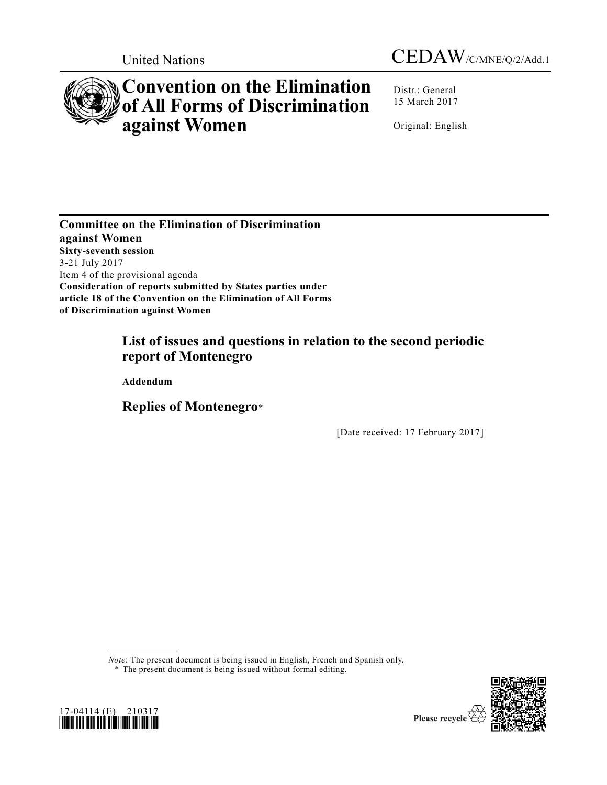



# **Convention on the Elimination of All Forms of Discrimination against Women**

Distr.: General 15 March 2017

Original: English

**Committee on the Elimination of Discrimination against Women Sixty-seventh session**  3-21 July 2017 Item 4 of the provisional agenda **Consideration of reports submitted by States parties under article 18 of the Convention on the Elimination of All Forms of Discrimination against Women**

# **List of issues and questions in relation to the second periodic report of Montenegro**

**Addendum** 

**Replies of Montenegro**\*

[Date received: 17 February 2017]

*Note*: The present document is being issued in English, French and Spanish only.

\* The present document is being issued without formal editing.



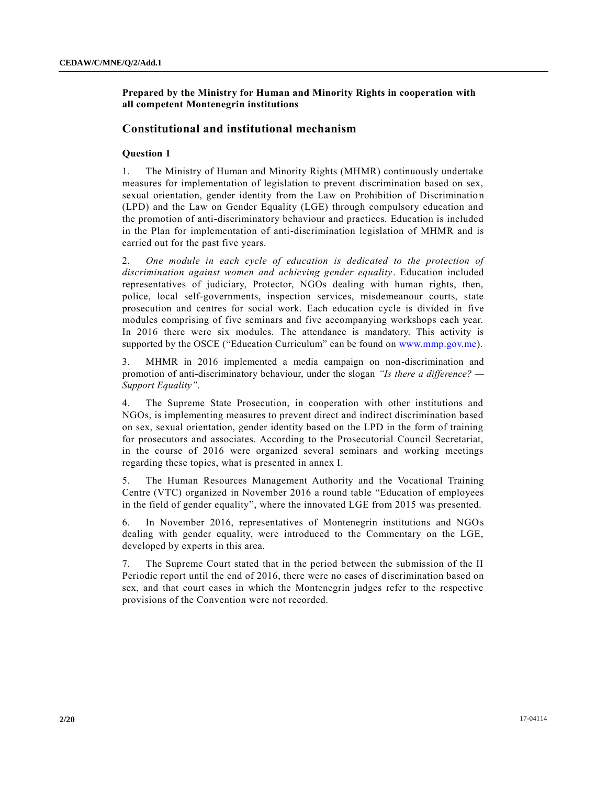# **Prepared by the Ministry for Human and Minority Rights in cooperation with all competent Montenegrin institutions**

# **Constitutional and institutional mechanism**

# **Question 1**

1. The Ministry of Human and Minority Rights (MHMR) continuously undertake measures for implementation of legislation to prevent discrimination based on sex, sexual orientation, gender identity from the Law on Prohibition of Discriminatio n (LPD) and the Law on Gender Equality (LGE) through compulsory education and the promotion of anti-discriminatory behaviour and practices. Education is included in the Plan for implementation of anti-discrimination legislation of MHMR and is carried out for the past five years.

2. *One module in each cycle of education is dedicated to the protection of discrimination against women and achieving gender equality*. Education included representatives of judiciary, Protector, NGOs dealing with human rights, then, police, local self-governments, inspection services, misdemeanour courts, state prosecution and centres for social work. Each education cycle is divided in five modules comprising of five seminars and five accompanying workshops each year. In 2016 there were six modules. The attendance is mandatory. This activity is supported by the OSCE ("Education Curriculum" can be found on [www.mmp.gov.me\)](file://///unhq.un.org/shared/english_wp51/MSWDocs/_2Semifinal/www.mmp.gov.me).

3. MHMR in 2016 implemented a media campaign on non-discrimination and promotion of anti-discriminatory behaviour, under the slogan *"Is there a difference? — Support Equality"*.

4. The Supreme State Prosecution, in cooperation with other institutions and NGOs, is implementing measures to prevent direct and indirect discrimination based on sex, sexual orientation, gender identity based on the LPD in the form of training for prosecutors and associates. According to the Prosecutorial Council Secretariat, in the course of 2016 were organized several seminars and working meetings regarding these topics, what is presented in annex I.

5. The Human Resources Management Authority and the Vocational Training Centre (VTC) organized in November 2016 a round table "Education of employees in the field of gender equality", where the innovated LGE from 2015 was presented.

6. In November 2016, representatives of Montenegrin institutions and NGOs dealing with gender equality, were introduced to the Commentary on the LGE, developed by experts in this area.

7. The Supreme Court stated that in the period between the submission of the II Periodic report until the end of 2016, there were no cases of discrimination based on sex, and that court cases in which the Montenegrin judges refer to the respective provisions of the Convention were not recorded.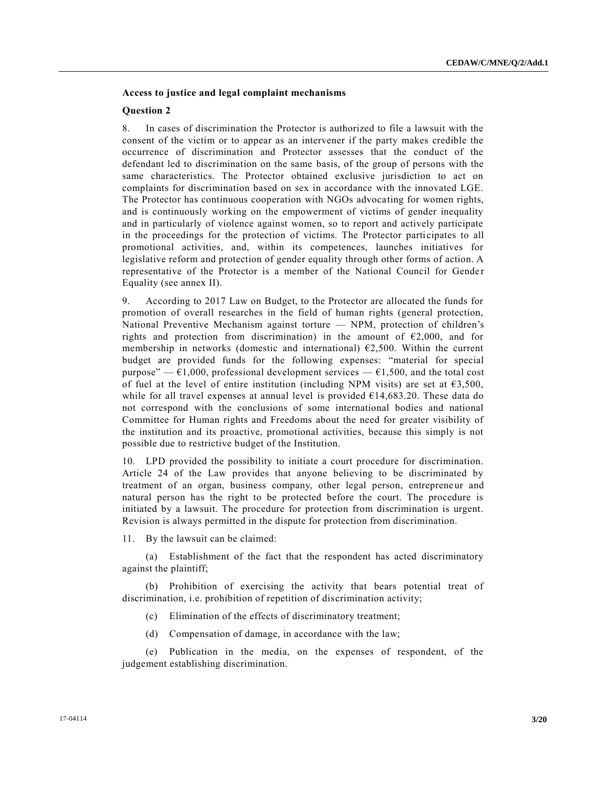# **Access to justice and legal complaint mechanisms**

#### **Question 2**

8. In cases of discrimination the Protector is authorized to file a lawsuit with the consent of the victim or to appear as an intervener if the party makes credible the occurrence of discrimination and Protector assesses that the conduct of the defendant led to discrimination on the same basis, of the group of persons with the same characteristics. The Protector obtained exclusive jurisdiction to act on complaints for discrimination based on sex in accordance with the innovated LGE. The Protector has continuous cooperation with NGOs advocating for women rights, and is continuously working on the empowerment of victims of gender inequality and in particularly of violence against women, so to report and actively participate in the proceedings for the protection of victims. The Protector parti cipates to all promotional activities, and, within its competences, launches initiatives for legislative reform and protection of gender equality through other forms of action. A representative of the Protector is a member of the National Council for Gender Equality (see annex II).

9. According to 2017 Law on Budget, to the Protector are allocated the funds for promotion of overall researches in the field of human rights (general protection, National Preventive Mechanism against torture — NPM, protection of children's rights and protection from discrimination) in the amount of  $\epsilon$ 2,000, and for membership in networks (domestic and international)  $E2,500$ . Within the current budget are provided funds for the following expenses: "material for special purpose" —  $\epsilon$ 1,000, professional development services —  $\epsilon$ 1,500, and the total cost of fuel at the level of entire institution (including NPM visits) are set at  $63,500$ , while for all travel expenses at annual level is provided  $E14,683.20$ . These data do not correspond with the conclusions of some international bodies and national Committee for Human rights and Freedoms about the need for greater visibility of the institution and its proactive, promotional activities, because this simply is not possible due to restrictive budget of the Institution.

10. LPD provided the possibility to initiate a court procedure for discrimination. Article 24 of the Law provides that anyone believing to be discriminated by treatment of an organ, business company, other legal person, entrepreneur and natural person has the right to be protected before the court. The procedure is initiated by a lawsuit. The procedure for protection from discrimination is urgent. Revision is always permitted in the dispute for protection from discrimination.

11. By the lawsuit can be claimed:

(a) Establishment of the fact that the respondent has acted discriminatory against the plaintiff;

(b) Prohibition of exercising the activity that bears potential treat of discrimination, i.e. prohibition of repetition of discrimination activity;

- (c) Elimination of the effects of discriminatory treatment;
- (d) Compensation of damage, in accordance with the law;

(e) Publication in the media, on the expenses of respondent, of the judgement establishing discrimination.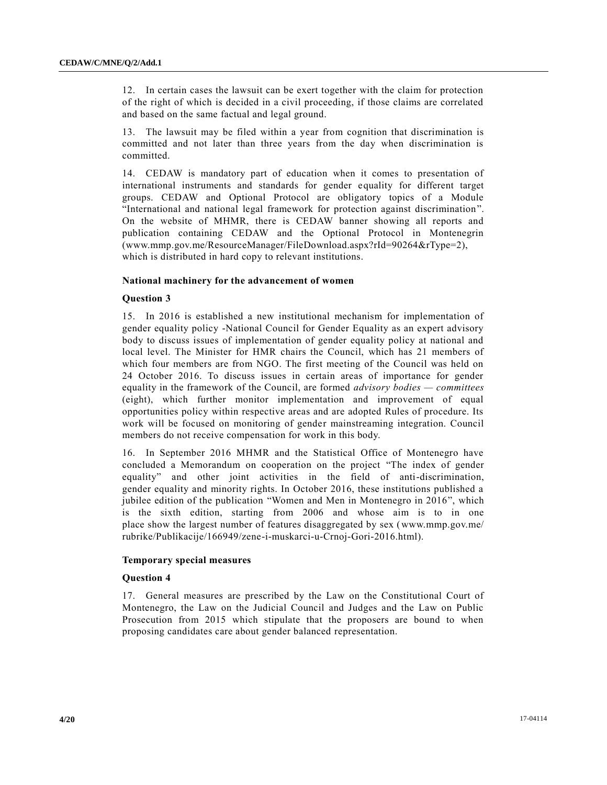12. In certain cases the lawsuit can be exert together with the claim for protection of the right of which is decided in a civil proceeding, if those claims are correlated and based on the same factual and legal ground.

13. The lawsuit may be filed within a year from cognition that discrimination is committed and not later than three years from the day when discrimination is committed.

14. CEDAW is mandatory part of education when it comes to presentation of international instruments and standards for gender equality for different target groups. CEDAW and Optional Protocol are obligatory topics of a Module "International and national legal framework for protection against discrimination". On the website of MHMR, there is CEDAW banner showing all reports and publication containing CEDAW and the Optional Protocol in Montenegrin (www.mmp.gov.me/ResourceManager/FileDownload.aspx?rId=90264&rType=2), which is distributed in hard copy to relevant institutions.

# **National machinery for the advancement of women**

# **Question 3**

15. In 2016 is established a new institutional mechanism for implementation of gender equality policy -National Council for Gender Equality as an expert advisory body to discuss issues of implementation of gender equality policy at national and local level. The Minister for HMR chairs the Council, which has 21 members of which four members are from NGO. The first meeting of the Council was held on 24 October 2016. To discuss issues in certain areas of importance for gender equality in the framework of the Council, are formed *advisory bodies — committees* (eight), which further monitor implementation and improvement of equal opportunities policy within respective areas and are adopted Rules of procedure. Its work will be focused on monitoring of gender mainstreaming integration. Council members do not receive compensation for work in this body.

16. In September 2016 MHMR and the Statistical Office of Montenegro have concluded a Memorandum on cooperation on the project "The index of gender equality" and other joint activities in the field of anti-discrimination, gender equality and minority rights. In October 2016, these institutions published a jubilee edition of the publication "Women and Men in Montenegro in 2016", which is the sixth edition, starting from 2006 and whose aim is to in one place show the largest number of features disaggregated by sex (www.mmp.gov.me/ rubrike/Publikacije/166949/zene-i-muskarci-u-Crnoj-Gori-2016.html).

# **Temporary special measures**

# **Question 4**

17. General measures are prescribed by the Law on the Constitutional Court of Montenegro, the Law on the Judicial Council and Judges and the Law on Public Prosecution from 2015 which stipulate that the proposers are bound to when proposing candidates care about gender balanced representation.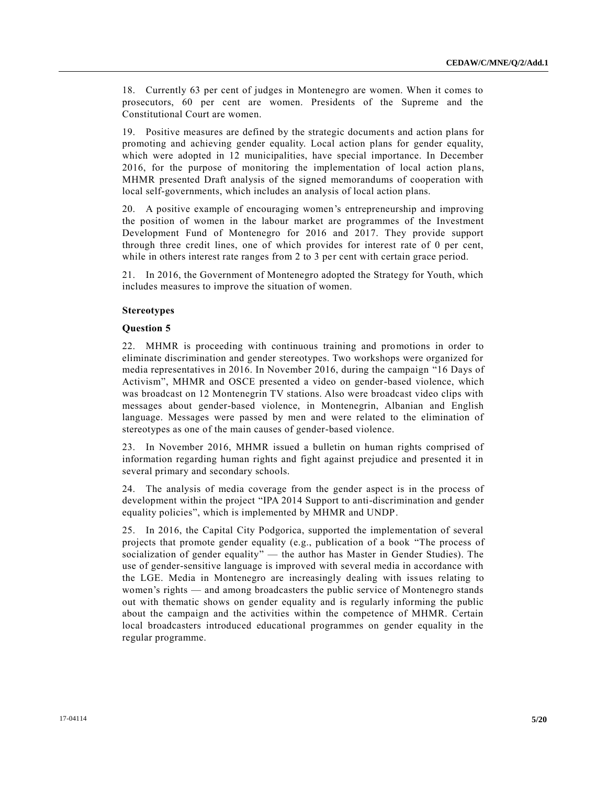18. Currently 63 per cent of judges in Montenegro are women. When it comes to prosecutors, 60 per cent are women. Presidents of the Supreme and the Constitutional Court are women.

19. Positive measures are defined by the strategic documents and action plans for promoting and achieving gender equality. Local action plans for gender equality, which were adopted in 12 municipalities, have special importance. In December 2016, for the purpose of monitoring the implementation of local action plans, MHMR presented Draft analysis of the signed memorandums of cooperation with local self-governments, which includes an analysis of local action plans.

20. A positive example of encouraging women's entrepreneurship and improving the position of women in the labour market are programmes of the Investment Development Fund of Montenegro for 2016 and 2017. They provide support through three credit lines, one of which provides for interest rate of 0 per cent, while in others interest rate ranges from 2 to 3 per cent with certain grace period.

21. In 2016, the Government of Montenegro adopted the Strategy for Youth, which includes measures to improve the situation of women.

# **Stereotypes**

#### **Question 5**

22. MHMR is proceeding with continuous training and promotions in order to eliminate discrimination and gender stereotypes. Two workshops were organized for media representatives in 2016. In November 2016, during the campaign "16 Days of Activism", MHMR and OSCE presented a video on gender-based violence, which was broadcast on 12 Montenegrin TV stations. Also were broadcast video clips with messages about gender-based violence, in Montenegrin, Albanian and English language. Messages were passed by men and were related to the elimination of stereotypes as one of the main causes of gender-based violence.

23. In November 2016, MHMR issued a bulletin on human rights comprised of information regarding human rights and fight against prejudice and presented it in several primary and secondary schools.

24. The analysis of media coverage from the gender aspect is in the process of development within the project "IPA 2014 Support to anti-discrimination and gender equality policies", which is implemented by MHMR and UNDP.

25. In 2016, the Capital City Podgorica, supported the implementation of several projects that promote gender equality (e.g., publication of a book "The process of socialization of gender equality" — the author has Master in Gender Studies). The use of gender-sensitive language is improved with several media in accordance with the LGE. Media in Montenegro are increasingly dealing with issues relating to women's rights — and among broadcasters the public service of Montenegro stands out with thematic shows on gender equality and is regularly informing the public about the campaign and the activities within the competence of MHMR. Certain local broadcasters introduced educational programmes on gender equality in the regular programme.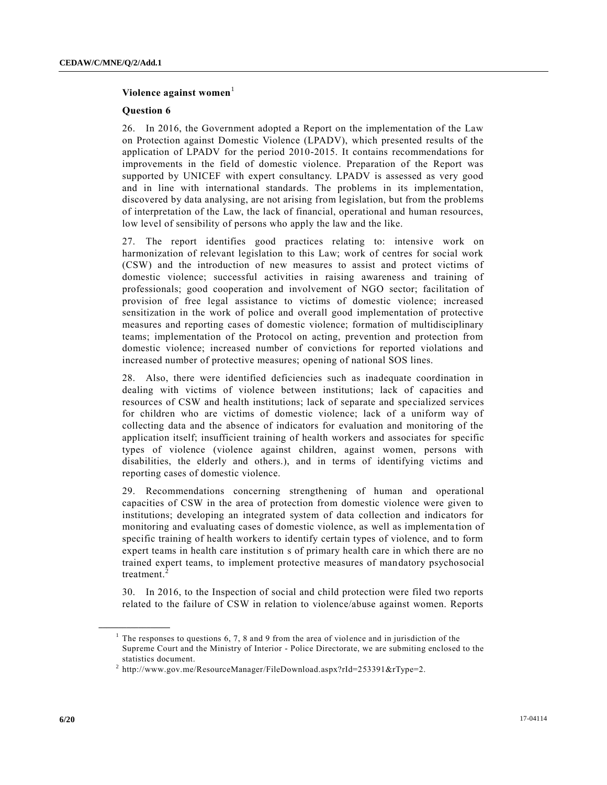# Violence against women<sup>1</sup>

#### **Question 6**

26. In 2016, the Government adopted a Report on the implementation of the Law on Protection against Domestic Violence (LPADV), which presented results of the application of LPADV for the period 2010-2015. It contains recommendations for improvements in the field of domestic violence. Preparation of the Report was supported by UNICEF with expert consultancy. LPADV is assessed as very good and in line with international standards. The problems in its implementation, discovered by data analysing, are not arising from legislation, but from the problems of interpretation of the Law, the lack of financial, operational and human resources, low level of sensibility of persons who apply the law and the like.

27. The report identifies good practices relating to: intensive work on harmonization of relevant legislation to this Law; work of centres for social work (CSW) and the introduction of new measures to assist and protect victims of domestic violence; successful activities in raising awareness and training of professionals; good cooperation and involvement of NGO sector; facilitation of provision of free legal assistance to victims of domestic violence; increased sensitization in the work of police and overall good implementation of protective measures and reporting cases of domestic violence; formation of multidisciplinary teams; implementation of the Protocol on acting, prevention and protection from domestic violence; increased number of convictions for reported violations and increased number of protective measures; opening of national SOS lines.

28. Also, there were identified deficiencies such as inadequate coordination in dealing with victims of violence between institutions; lack of capacities and resources of CSW and health institutions; lack of separate and spe cialized services for children who are victims of domestic violence; lack of a uniform way of collecting data and the absence of indicators for evaluation and monitoring of the application itself; insufficient training of health workers and associates for specific types of violence (violence against children, against women, persons with disabilities, the elderly and others.), and in terms of identifying victims and reporting cases of domestic violence.

29. Recommendations concerning strengthening of human and operational capacities of CSW in the area of protection from domestic violence were given to institutions; developing an integrated system of data collection and indicators for monitoring and evaluating cases of domestic violence, as well as implementa tion of specific training of health workers to identify certain types of violence, and to form expert teams in health care institution s of primary health care in which there are no trained expert teams, to implement protective measures of mandatory psychosocial treatment.<sup>2</sup>

30. In 2016, to the Inspection of social and child protection were filed two reports related to the failure of CSW in relation to violence/abuse against women. Reports

**\_\_\_\_\_\_\_\_\_\_\_\_\_\_\_\_\_\_**

<sup>&</sup>lt;sup>1</sup> The responses to questions  $6, 7, 8$  and  $9$  from the area of violence and in jurisdiction of the Supreme Court and the Ministry of Interior - Police Directorate, we are submiting enclosed to the statistics document.

<sup>&</sup>lt;sup>2</sup> http://www.gov.me/ResourceManager/FileDownload.aspx?rId=253391&rType=2.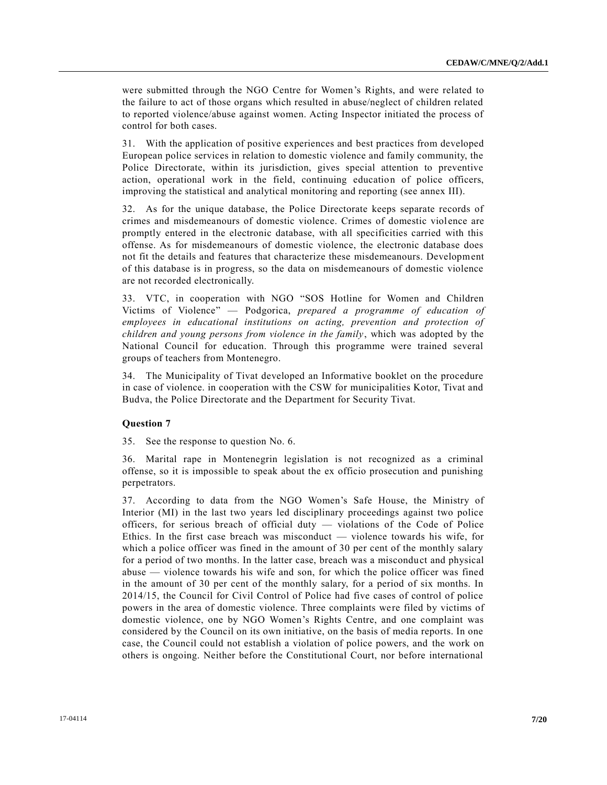were submitted through the NGO Centre for Women's Rights, and were related to the failure to act of those organs which resulted in abuse/neglect of children related to reported violence/abuse against women. Acting Inspector initiated the process of control for both cases.

31. With the application of positive experiences and best practices from developed European police services in relation to domestic violence and family community, the Police Directorate, within its jurisdiction, gives special attention to preventive action, operational work in the field, continuing education of police officers, improving the statistical and analytical monitoring and reporting (see annex III).

32. As for the unique database, the Police Directorate keeps separate records of crimes and misdemeanours of domestic violence. Crimes of domestic violence are promptly entered in the electronic database, with all specificities carried with this offense. As for misdemeanours of domestic violence, the electronic database does not fit the details and features that characterize these misdemeanours. Development of this database is in progress, so the data on misdemeanours of domestic violence are not recorded electronically.

33. VTC, in cooperation with NGO "SOS Hotline for Women and Children Victims of Violence" — Podgorica, *prepared a programme of education of employees in educational institutions on acting, prevention and protection of children and young persons from violence in the family*, which was adopted by the National Council for education. Through this programme were trained several groups of teachers from Montenegro.

34. The Municipality of Tivat developed an Informative booklet on the procedure in case of violence. in cooperation with the CSW for municipalities Kotor, Tivat and Budva, the Police Directorate and the Department for Security Tivat.

# **Question 7**

35. See the response to question No. 6.

36. Marital rape in Montenegrin legislation is not recognized as a criminal offense, so it is impossible to speak about the ex officio prosecution and punishing perpetrators.

37. According to data from the NGO Women's Safe House, the Ministry of Interior (MI) in the last two years led disciplinary proceedings against two police officers, for serious breach of official duty — violations of the Code of Police Ethics. In the first case breach was misconduct — violence towards his wife, for which a police officer was fined in the amount of 30 per cent of the monthly salary for a period of two months. In the latter case, breach was a misconduct and physical abuse — violence towards his wife and son, for which the police officer was fined in the amount of 30 per cent of the monthly salary, for a period of six months. In 2014/15, the Council for Civil Control of Police had five cases of control of police powers in the area of domestic violence. Three complaints were filed by victims of domestic violence, one by NGO Women's Rights Centre, and one complaint was considered by the Council on its own initiative, on the basis of media reports. In one case, the Council could not establish a violation of police powers, and the work on others is ongoing. Neither before the Constitutional Court, nor before international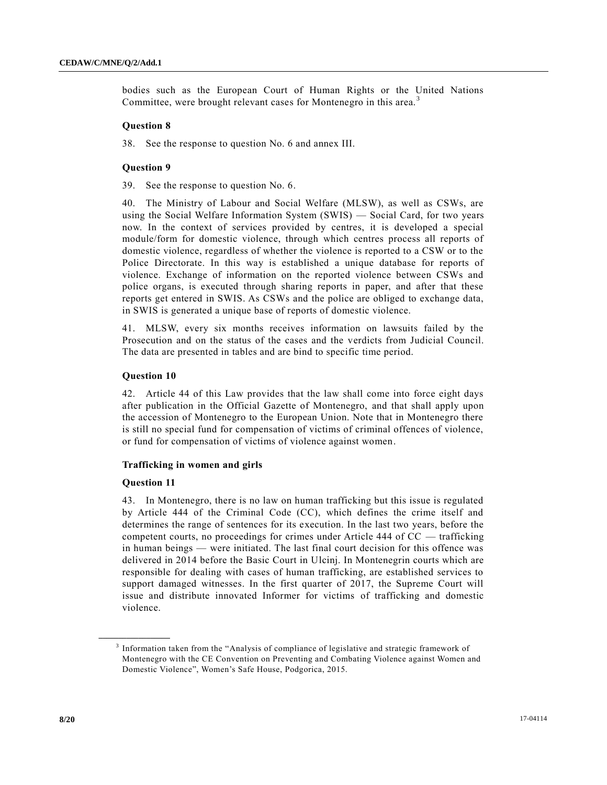bodies such as the European Court of Human Rights or the United Nations Committee, were brought relevant cases for Montenegro in this area.<sup>3</sup>

#### **Question 8**

38. See the response to question No. 6 and annex III.

#### **Question 9**

39. See the response to question No. 6.

40. The Ministry of Labour and Social Welfare (MLSW), as well as CSWs, are using the Social Welfare Information System (SWIS) — Social Card, for two years now. In the context of services provided by centres, it is developed a special module/form for domestic violence, through which centres process all reports of domestic violence, regardless of whether the violence is reported to a CSW or to the Police Directorate. In this way is established a unique database for reports of violence. Exchange of information on the reported violence between CSWs and police organs, is executed through sharing reports in paper, and after that these reports get entered in SWIS. As CSWs and the police are obliged to exchange data, in SWIS is generated a unique base of reports of domestic violence.

41. MLSW, every six months receives information on lawsuits failed by the Prosecution and on the status of the cases and the verdicts from Judicial Council. The data are presented in tables and are bind to specific time period.

#### **Question 10**

42. Article 44 of this Law provides that the law shall come into force eight days after publication in the Official Gazette of Montenegro, and that shall apply upon the accession of Montenegro to the European Union. Note that in Montenegro there is still no special fund for compensation of victims of criminal offences of violence, or fund for compensation of victims of violence against women.

# **Trafficking in women and girls**

#### **Question 11**

**\_\_\_\_\_\_\_\_\_\_\_\_\_\_\_\_\_\_**

43. In Montenegro, there is no law on human trafficking but this issue is regulated by Article 444 of the Criminal Code (CC), which defines the crime itself and determines the range of sentences for its execution. In the last two years, before the competent courts, no proceedings for crimes under Article 444 of CC — trafficking in human beings — were initiated. The last final court decision for this offence was delivered in 2014 before the Basic Court in Ulcinj. In Montenegrin courts which are responsible for dealing with cases of human trafficking, are established services to support damaged witnesses. In the first quarter of 2017, the Supreme Court will issue and distribute innovated Informer for victims of trafficking and domestic violence.

<sup>&</sup>lt;sup>3</sup> Information taken from the "Analysis of compliance of legislative and strategic framework of Montenegro with the CE Convention on Preventing and Combating Violence against Women and Domestic Violence", Women's Safe House, Podgorica, 2015.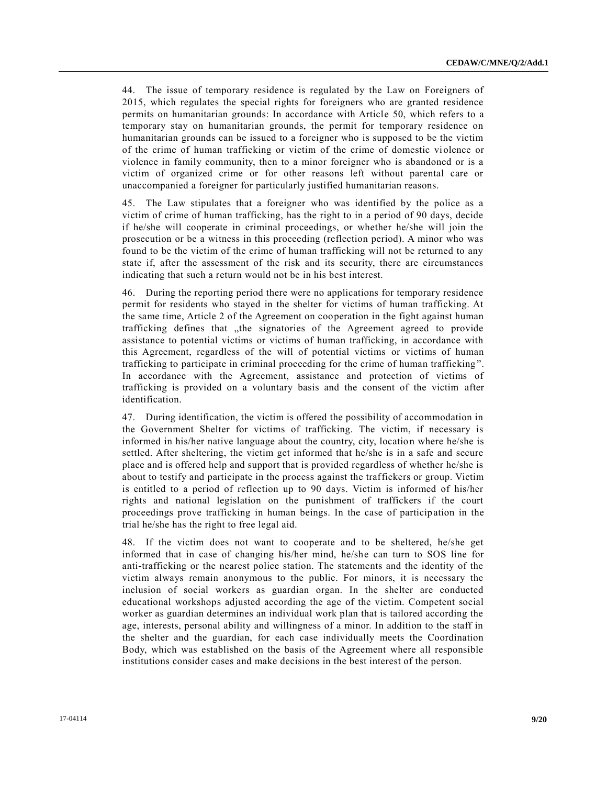44. The issue of temporary residence is regulated by the Law on Foreigners of 2015, which regulates the special rights for foreigners who are granted residence permits on humanitarian grounds: In accordance with Article 50, which refers to a temporary stay on humanitarian grounds, the permit for temporary residence on humanitarian grounds can be issued to a foreigner who is supposed to be the victim of the crime of human trafficking or victim of the crime of domestic violence or violence in family community, then to a minor foreigner who is abandoned or is a victim of organized crime or for other reasons left without parental care or unaccompanied a foreigner for particularly justified humanitarian reasons.

45. The Law stipulates that a foreigner who was identified by the police as a victim of crime of human trafficking, has the right to in a period of 90 days, decide if he/she will cooperate in criminal proceedings, or whether he/she will join the prosecution or be a witness in this proceeding (reflection period). A minor who was found to be the victim of the crime of human trafficking will not be returned to any state if, after the assessment of the risk and its security, there are circumstances indicating that such a return would not be in his best interest.

46. During the reporting period there were no applications for temporary residence permit for residents who stayed in the shelter for victims of human trafficking. At the same time, Article 2 of the Agreement on cooperation in the fight against human trafficking defines that the signatories of the Agreement agreed to provide assistance to potential victims or victims of human trafficking, in accordance with this Agreement, regardless of the will of potential victims or victims of human trafficking to participate in criminal proceeding for the crime of human trafficking ". In accordance with the Agreement, assistance and protection of victims of trafficking is provided on a voluntary basis and the consent of the victim after identification.

47. During identification, the victim is offered the possibility of accommodation in the Government Shelter for victims of trafficking. The victim, if necessary is informed in his/her native language about the country, city, location where he/she is settled. After sheltering, the victim get informed that he/she is in a safe and secure place and is offered help and support that is provided regardless of whether he/she is about to testify and participate in the process against the traffickers or group. Victim is entitled to a period of reflection up to 90 days. Victim is informed of his/her rights and national legislation on the punishment of traffickers if the court proceedings prove trafficking in human beings. In the case of participation in the trial he/she has the right to free legal aid.

48. If the victim does not want to cooperate and to be sheltered, he/she get informed that in case of changing his/her mind, he/she can turn to SOS line for anti-trafficking or the nearest police station. The statements and the identity of the victim always remain anonymous to the public. For minors, it is necessary the inclusion of social workers as guardian organ. In the shelter are conducted educational workshops adjusted according the age of the victim. Competent social worker as guardian determines an individual work plan that is tailored according the age, interests, personal ability and willingness of a minor. In addition to the staff in the shelter and the guardian, for each case individually meets the Coordination Body, which was established on the basis of the Agreement where all responsible institutions consider cases and make decisions in the best interest of the person.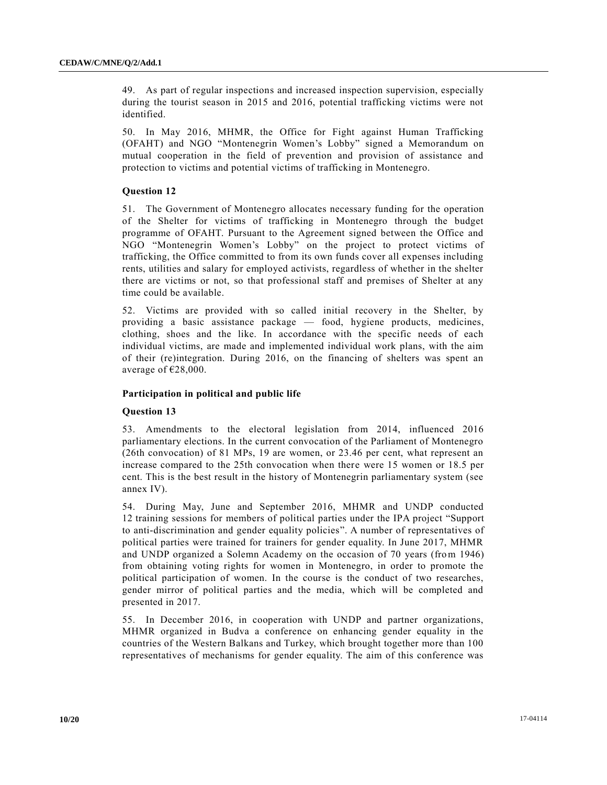49. As part of regular inspections and increased inspection supervision, especially during the tourist season in 2015 and 2016, potential trafficking victims were not identified.

50. In May 2016, MHMR, the Office for Fight against Human Trafficking (OFAHT) and NGO "Montenegrin Women's Lobby" signed a Memorandum on mutual cooperation in the field of prevention and provision of assistance and protection to victims and potential victims of trafficking in Montenegro.

# **Question 12**

51. The Government of Montenegro allocates necessary funding for the operation of the Shelter for victims of trafficking in Montenegro through the budget programme of OFAHT. Pursuant to the Agreement signed between the Office and NGO "Montenegrin Women's Lobby" on the project to protect victims of trafficking, the Office committed to from its own funds cover all expenses including rents, utilities and salary for employed activists, regardless of whether in the shelter there are victims or not, so that professional staff and premises of Shelter at any time could be available.

52. Victims are provided with so called initial recovery in the Shelter, by providing a basic assistance package — food, hygiene products, medicines, clothing, shoes and the like. In accordance with the specific needs of each individual victims, are made and implemented individual work plans, with the aim of their (re)integration. During 2016, on the financing of shelters was spent an average of €28,000.

# **Participation in political and public life**

# **Question 13**

53. Amendments to the electoral legislation from 2014, influenced 2016 parliamentary elections. In the current convocation of the Parliament of Montenegro (26th convocation) of 81 MPs, 19 are women, or 23.46 per cent, what represent an increase compared to the 25th convocation when there were 15 women or 18.5 per cent. This is the best result in the history of Montenegrin parliamentary system (see annex IV).

54. During May, June and September 2016, MHMR and UNDP conducted 12 training sessions for members of political parties under the IPA project "Support to anti-discrimination and gender equality policies". A number of representatives of political parties were trained for trainers for gender equality. In June 2017, MHMR and UNDP organized a Solemn Academy on the occasion of 70 years (from 1946) from obtaining voting rights for women in Montenegro, in order to promote the political participation of women. In the course is the conduct of two researches, gender mirror of political parties and the media, which will be completed and presented in 2017.

55. In December 2016, in cooperation with UNDP and partner organizations, MHMR organized in Budva a conference on enhancing gender equality in the countries of the Western Balkans and Turkey, which brought together more than 100 representatives of mechanisms for gender equality. The aim of this conference was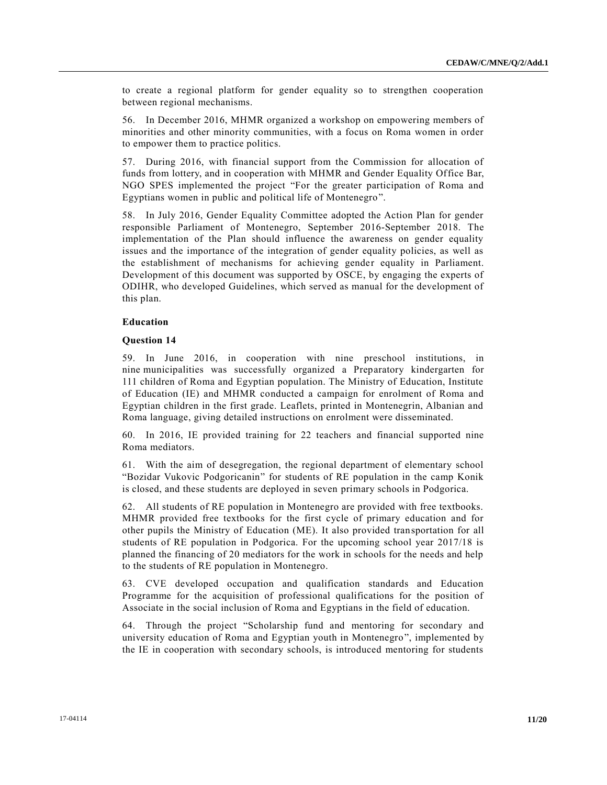to create a regional platform for gender equality so to strengthen cooperation between regional mechanisms.

56. In December 2016, MHMR organized a workshop on empowering members of minorities and other minority communities, with a focus on Roma women in order to empower them to practice politics.

57. During 2016, with financial support from the Commission for allocation of funds from lottery, and in cooperation with MHMR and Gender Equality Office Bar, NGO SPES implemented the project "For the greater participation of Roma and Egyptians women in public and political life of Montenegro".

58. In July 2016, Gender Equality Committee adopted the Action Plan for gender responsible Parliament of Montenegro, September 2016-September 2018. The implementation of the Plan should influence the awareness on gender equality issues and the importance of the integration of gender equality policies, as well as the establishment of mechanisms for achieving gender equality in Parliament. Development of this document was supported by OSCE, by engaging the experts of ODIHR, who developed Guidelines, which served as manual for the development of this plan.

#### **Education**

#### **Question 14**

59. In June 2016, in cooperation with nine preschool institutions, in nine municipalities was successfully organized a Preparatory kindergarten for 111 children of Roma and Egyptian population. The Ministry of Education, Institute of Education (IE) and MHMR conducted a campaign for enrolment of Roma and Egyptian children in the first grade. Leaflets, printed in Montenegrin, Albanian and Roma language, giving detailed instructions on enrolment were disseminated.

60. In 2016, IE provided training for 22 teachers and financial supported nine Roma mediators.

61. With the aim of desegregation, the regional department of elementary school "Bozidar Vukovic Podgoricanin" for students of RE population in the camp Konik is closed, and these students are deployed in seven primary schools in Podgorica.

62. All students of RE population in Montenegro are provided with free textbooks. MHMR provided free textbooks for the first cycle of primary education and for other pupils the Ministry of Education (ME). It also provided transportation for all students of RE population in Podgorica. For the upcoming school year 2017/18 is planned the financing of 20 mediators for the work in schools for the needs and help to the students of RE population in Montenegro.

63. CVE developed occupation and qualification standards and Education Programme for the acquisition of professional qualifications for the position of Associate in the social inclusion of Roma and Egyptians in the field of education.

64. Through the project "Scholarship fund and mentoring for secondary and university education of Roma and Egyptian youth in Montenegro", implemented by the IE in cooperation with secondary schools, is introduced mentoring for students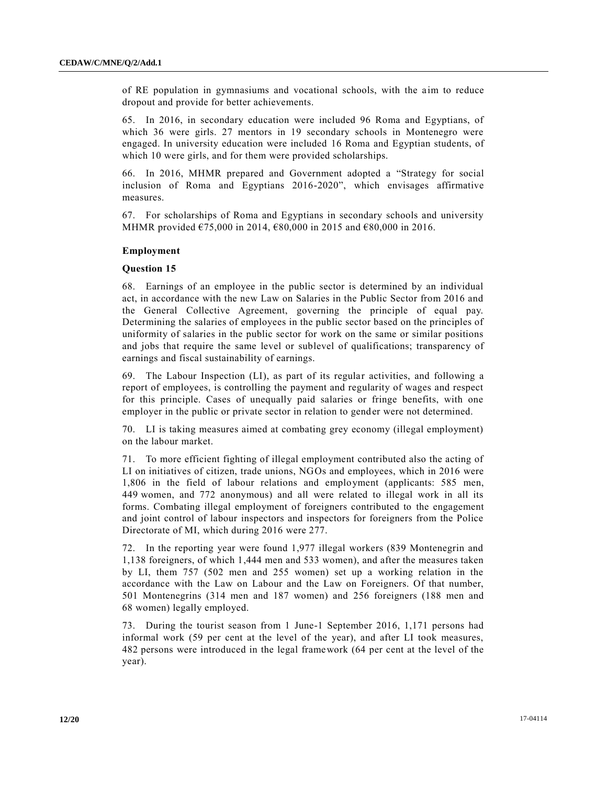of RE population in gymnasiums and vocational schools, with the aim to reduce dropout and provide for better achievements.

65. In 2016, in secondary education were included 96 Roma and Egyptians, of which 36 were girls. 27 mentors in 19 secondary schools in Montenegro were engaged. In university education were included 16 Roma and Egyptian students, of which 10 were girls, and for them were provided scholarships.

66. In 2016, MHMR prepared and Government adopted a "Strategy for social inclusion of Roma and Egyptians 2016-2020", which envisages affirmative measures.

67. For scholarships of Roma and Egyptians in secondary schools and university MHMR provided €75,000 in 2014, €80,000 in 2015 and €80,000 in 2016.

#### **Employment**

#### **Question 15**

68. Earnings of an employee in the public sector is determined by an individual act, in accordance with the new Law on Salaries in the Public Sector from 2016 and the General Collective Agreement, governing the principle of equal pay. Determining the salaries of employees in the public sector based on the principles of uniformity of salaries in the public sector for work on the same or similar positions and jobs that require the same level or sublevel of qualifications; transparency of earnings and fiscal sustainability of earnings.

69. The Labour Inspection (LI), as part of its regular activities, and following a report of employees, is controlling the payment and regularity of wages and respect for this principle. Cases of unequally paid salaries or fringe benefits, with one employer in the public or private sector in relation to gender were not determined.

70. LI is taking measures aimed at combating grey economy (illegal employment) on the labour market.

71. To more efficient fighting of illegal employment contributed also the acting of LI on initiatives of citizen, trade unions, NGOs and employees, which in 2016 were 1,806 in the field of labour relations and employment (applicants: 585 men, 449 women, and 772 anonymous) and all were related to illegal work in all its forms. Combating illegal employment of foreigners contributed to the engagement and joint control of labour inspectors and inspectors for foreigners from the Police Directorate of MI, which during 2016 were 277.

72. In the reporting year were found 1,977 illegal workers (839 Montenegrin and 1,138 foreigners, of which 1,444 men and 533 women), and after the measures taken by LI, them 757 (502 men and 255 women) set up a working relation in the accordance with the Law on Labour and the Law on Foreigners. Of that number, 501 Montenegrins (314 men and 187 women) and 256 foreigners (188 men and 68 women) legally employed.

73. During the tourist season from 1 June-1 September 2016, 1,171 persons had informal work (59 per cent at the level of the year), and after LI took measures, 482 persons were introduced in the legal framework (64 per cent at the level of the year).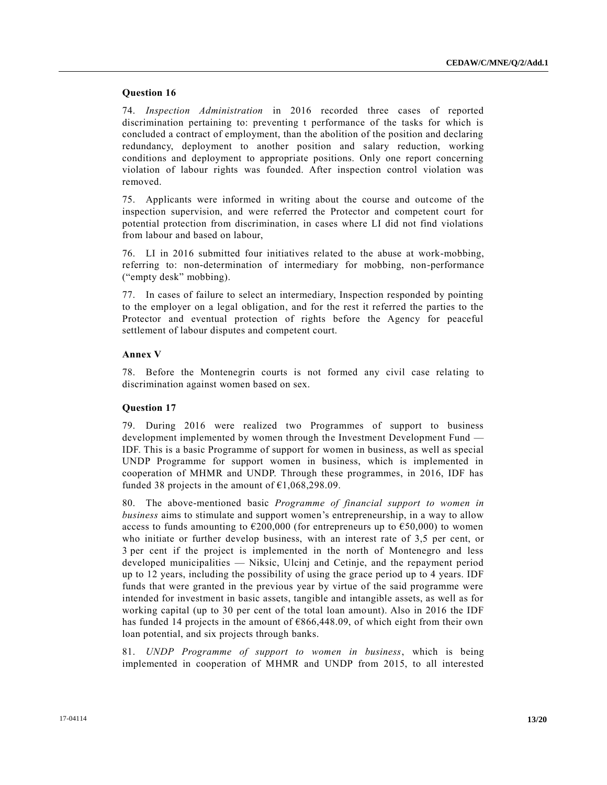# **Question 16**

74. *Inspection Administration* in 2016 recorded three cases of reported discrimination pertaining to: preventing t performance of the tasks for which is concluded a contract of employment, than the abolition of the position and declaring redundancy, deployment to another position and salary reduction, working conditions and deployment to appropriate positions. Only one report concerning violation of labour rights was founded. After inspection control violation was removed.

75. Applicants were informed in writing about the course and outcome of the inspection supervision, and were referred the Protector and competent court for potential protection from discrimination, in cases where LI did not find violations from labour and based on labour,

76. LI in 2016 submitted four initiatives related to the abuse at work-mobbing, referring to: non-determination of intermediary for mobbing, non-performance ("empty desk" mobbing).

77. In cases of failure to select an intermediary, Inspection responded by pointing to the employer on a legal obligation, and for the rest it referred the parties to the Protector and eventual protection of rights before the Agency for peaceful settlement of labour disputes and competent court.

# **Annex V**

78. Before the Montenegrin courts is not formed any civil case relating to discrimination against women based on sex.

# **Question 17**

79. During 2016 were realized two Programmes of support to business development implemented by women through the Investment Development Fund — IDF. This is a basic Programme of support for women in business, as well as special UNDP Programme for support women in business, which is implemented in cooperation of MHMR and UNDP. Through these programmes, in 2016, IDF has funded 38 projects in the amount of  $\text{\textsterling}1,068,298.09$ .

80. The above-mentioned basic *Programme of financial support to women in business* aims to stimulate and support women's entrepreneurship, in a way to allow access to funds amounting to  $\epsilon$ 200,000 (for entrepreneurs up to  $\epsilon$ 50,000) to women who initiate or further develop business, with an interest rate of 3,5 per cent, or 3 per cent if the project is implemented in the north of Montenegro and less developed municipalities — Niksic, Ulcinj and Cetinje, and the repayment period up to 12 years, including the possibility of using the grace period up to 4 years. IDF funds that were granted in the previous year by virtue of the said programme were intended for investment in basic assets, tangible and intangible assets, as well as for working capital (up to 30 per cent of the total loan amount). Also in 2016 the IDF has funded 14 projects in the amount of €866,448.09, of which eight from their own loan potential, and six projects through banks.

81. *UNDP Programme of support to women in business*, which is being implemented in cooperation of MHMR and UNDP from 2015, to all interested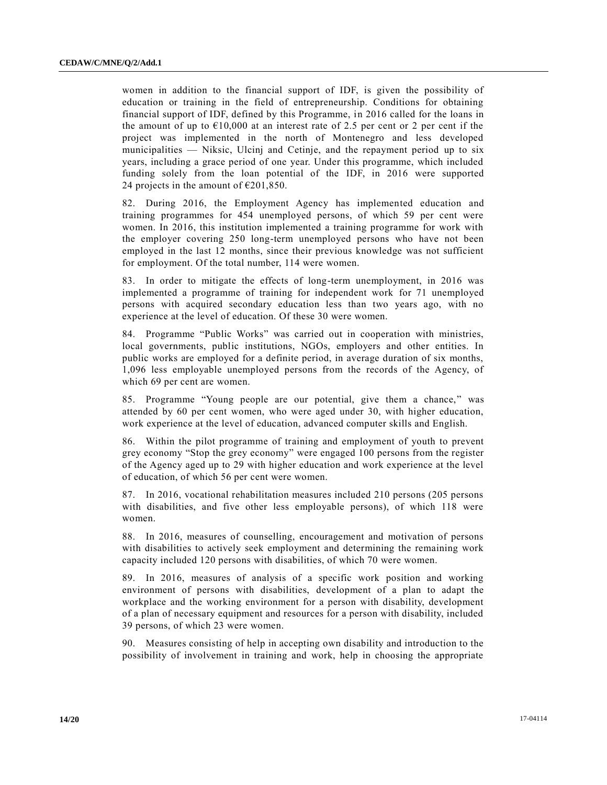women in addition to the financial support of IDF, is given the possibility of education or training in the field of entrepreneurship. Conditions for obtaining financial support of IDF, defined by this Programme, in 2016 called for the loans in the amount of up to  $E10,000$  at an interest rate of 2.5 per cent or 2 per cent if the project was implemented in the north of Montenegro and less developed municipalities — Niksic, Ulcinj and Cetinje, and the repayment period up to six years, including a grace period of one year. Under this programme, which included funding solely from the loan potential of the IDF, in 2016 were supported 24 projects in the amount of  $\epsilon$ 201,850.

82. During 2016, the Employment Agency has implemented education and training programmes for 454 unemployed persons, of which 59 per cent were women. In 2016, this institution implemented a training programme for work with the employer covering 250 long-term unemployed persons who have not been employed in the last 12 months, since their previous knowledge was not sufficient for employment. Of the total number, 114 were women.

83. In order to mitigate the effects of long-term unemployment, in 2016 was implemented a programme of training for independent work for 71 unemployed persons with acquired secondary education less than two years ago, with no experience at the level of education. Of these 30 were women.

84. Programme "Public Works" was carried out in cooperation with ministries, local governments, public institutions, NGOs, employers and other entities. In public works are employed for a definite period, in average duration of six months, 1,096 less employable unemployed persons from the records of the Agency, of which 69 per cent are women.

85. Programme "Young people are our potential, give them a chance," was attended by 60 per cent women, who were aged under 30, with higher education, work experience at the level of education, advanced computer skills and English.

86. Within the pilot programme of training and employment of youth to prevent grey economy "Stop the grey economy" were engaged 100 persons from the register of the Agency aged up to 29 with higher education and work experience at the level of education, of which 56 per cent were women.

87. In 2016, vocational rehabilitation measures included 210 persons (205 persons with disabilities, and five other less employable persons), of which 118 were women.

88. In 2016, measures of counselling, encouragement and motivation of persons with disabilities to actively seek employment and determining the remaining work capacity included 120 persons with disabilities, of which 70 were women.

89. In 2016, measures of analysis of a specific work position and working environment of persons with disabilities, development of a plan to adapt the workplace and the working environment for a person with disability, development of a plan of necessary equipment and resources for a person with disability, included 39 persons, of which 23 were women.

90. Measures consisting of help in accepting own disability and introduction to the possibility of involvement in training and work, help in choosing the appropriate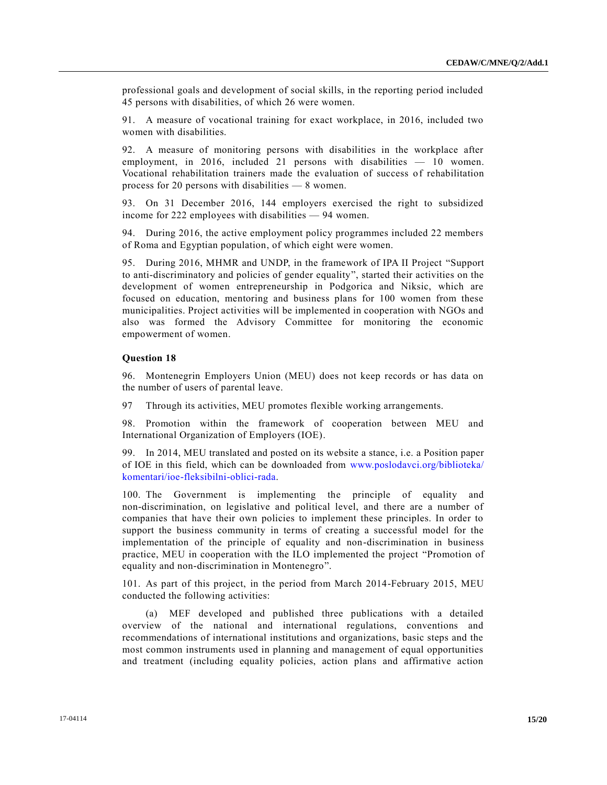professional goals and development of social skills, in the reporting period included 45 persons with disabilities, of which 26 were women.

91. A measure of vocational training for exact workplace, in 2016, included two women with disabilities.

92. A measure of monitoring persons with disabilities in the workplace after employment, in 2016, included 21 persons with disabilities — 10 women. Vocational rehabilitation trainers made the evaluation of success of rehabilitation process for 20 persons with disabilities — 8 women.

93. On 31 December 2016, 144 employers exercised the right to subsidized income for 222 employees with disabilities — 94 women.

94. During 2016, the active employment policy programmes included 22 members of Roma and Egyptian population, of which eight were women.

95. During 2016, MHMR and UNDP, in the framework of IPA II Project "Support to anti-discriminatory and policies of gender equality", started their activities on the development of women entrepreneurship in Podgorica and Niksic, which are focused on education, mentoring and business plans for 100 women from these municipalities. Project activities will be implemented in cooperation with NGOs and also was formed the Advisory Committee for monitoring the economic empowerment of women.

#### **Question 18**

96. Montenegrin Employers Union (MEU) does not keep records or has data on the number of users of parental leave.

97 Through its activities, MEU promotes flexible working arrangements.

98. Promotion within the framework of cooperation between MEU and International Organization of Employers (IOE).

99. In 2014, MEU translated and posted on its website a stance, i.e. a Position paper of IOE in this field, which can be downloaded from [www.poslodavci.org/biblioteka/](http://www.poslodavci.org/biblioteka/komentari/ioe-fleksibilni-oblici-rada) [komentari/ioe-fleksibilni-oblici-rada.](http://www.poslodavci.org/biblioteka/komentari/ioe-fleksibilni-oblici-rada)

100. The Government is implementing the principle of equality and non-discrimination, on legislative and political level, and there are a number of companies that have their own policies to implement these principles. In order to support the business community in terms of creating a successful model for the implementation of the principle of equality and non-discrimination in business practice, MEU in cooperation with the ILO implemented the project "Promotion of equality and non-discrimination in Montenegro".

101. As part of this project, in the period from March 2014-February 2015, MEU conducted the following activities:

(a) MEF developed and published three publications with a detailed overview of the national and international regulations, conventions and recommendations of international institutions and organizations, basic steps and the most common instruments used in planning and management of equal opportunities and treatment (including equality policies, action plans and affirmative action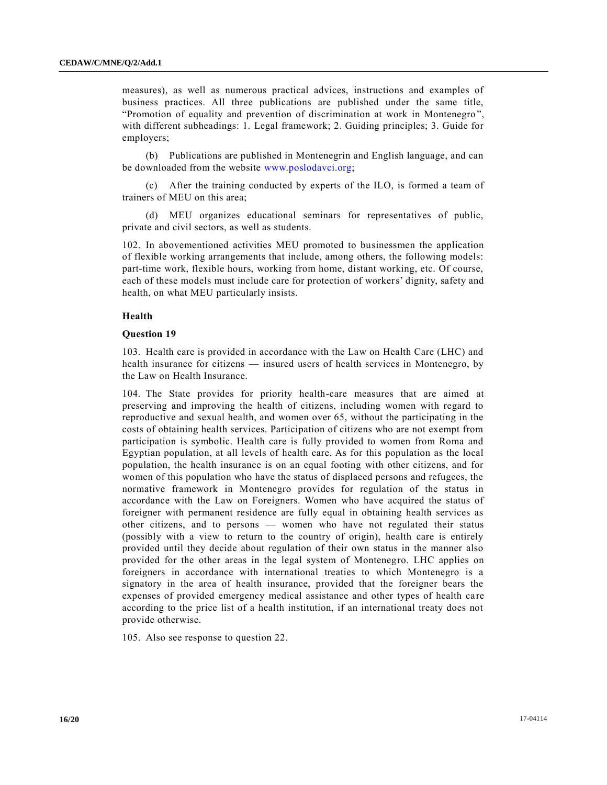measures), as well as numerous practical advices, instructions and examples of business practices. All three publications are published under the same title, "Promotion of equality and prevention of discrimination at work in Montenegro ", with different subheadings: 1. Legal framework; 2. Guiding principles; 3. Guide for employers;

(b) Publications are published in Montenegrin and English language, and can be downloaded from the website [www.poslodavci.org;](http://www.poslodavci.org/)

(c) After the training conducted by experts of the ILO, is formed a team of trainers of MEU on this area;

(d) MEU organizes educational seminars for representatives of public, private and civil sectors, as well as students.

102. In abovementioned activities MEU promoted to businessmen the application of flexible working arrangements that include, among others, the following models: part-time work, flexible hours, working from home, distant working, etc. Of course, each of these models must include care for protection of workers' dignity, safety and health, on what MEU particularly insists.

#### **Health**

#### **Question 19**

103. Health care is provided in accordance with the Law on Health Care (LHC) and health insurance for citizens — insured users of health services in Montenegro, by the Law on Health Insurance.

104. The State provides for priority health-care measures that are aimed at preserving and improving the health of citizens, including women with regard to reproductive and sexual health, and women over 65, without the participating in the costs of obtaining health services. Participation of citizens who are not exempt from participation is symbolic. Health care is fully provided to women from Roma and Egyptian population, at all levels of health care. As for this population as the local population, the health insurance is on an equal footing with other citizens, and for women of this population who have the status of displaced persons and refugees, the normative framework in Montenegro provides for regulation of the status in accordance with the Law on Foreigners. Women who have acquired the status of foreigner with permanent residence are fully equal in obtaining health services as other citizens, and to persons — women who have not regulated their status (possibly with a view to return to the country of origin), health care is entirely provided until they decide about regulation of their own status in the manner also provided for the other areas in the legal system of Montenegro. LHC applies on foreigners in accordance with international treaties to which Montenegro is a signatory in the area of health insurance, provided that the foreigner bears the expenses of provided emergency medical assistance and other types of health care according to the price list of a health institution, if an international treaty does not provide otherwise.

105. Also see response to question 22.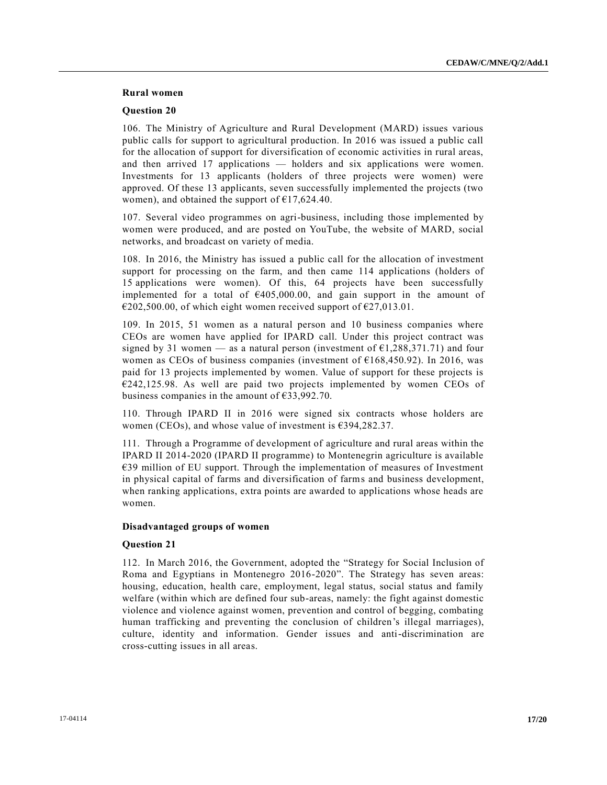# **Rural women**

#### **Question 20**

106. The Ministry of Agriculture and Rural Development (MARD) issues various public calls for support to agricultural production. In 2016 was issued a public call for the allocation of support for diversification of economic activities in rural areas, and then arrived 17 applications — holders and six applications were women. Investments for 13 applicants (holders of three projects were women) were approved. Of these 13 applicants, seven successfully implemented the projects (two women), and obtained the support of  $\text{\textsterling}17,624.40$ .

107. Several video programmes on agri-business, including those implemented by women were produced, and are posted on YouTube, the website of MARD, social networks, and broadcast on variety of media.

108. In 2016, the Ministry has issued a public call for the allocation of investment support for processing on the farm, and then came 114 applications (holders of 15 applications were women). Of this, 64 projects have been successfully implemented for a total of €405,000.00, and gain support in the amount of  $\epsilon$ 202,500.00, of which eight women received support of  $\epsilon$ 27,013.01.

109. In 2015, 51 women as a natural person and 10 business companies where CEOs are women have applied for IPARD call. Under this project contract was signed by 31 women — as a natural person (investment of  $\epsilon$ 1,288,371.71) and four women as CEOs of business companies (investment of  $E168,450.92$ ). In 2016, was paid for 13 projects implemented by women. Value of support for these projects is  $E242,125.98$ . As well are paid two projects implemented by women CEOs of business companies in the amount of €33,992.70.

110. Through IPARD II in 2016 were signed six contracts whose holders are women (CEOs), and whose value of investment is €394,282.37.

111. Through a Programme of development of agriculture and rural areas within the IPARD II 2014-2020 (IPARD II programme) to Montenegrin agriculture is available €39 million of EU support. Through the implementation of measures of Investment in physical capital of farms and diversification of farms and business development, when ranking applications, extra points are awarded to applications whose heads are women.

# **Disadvantaged groups of women**

# **Question 21**

112. In March 2016, the Government, adopted the "Strategy for Social Inclusion of Roma and Egyptians in Montenegro 2016-2020". The Strategy has seven areas: housing, education, health care, employment, legal status, social status and family welfare (within which are defined four sub-areas, namely: the fight against domestic violence and violence against women, prevention and control of begging, combating human trafficking and preventing the conclusion of children's illegal marriages), culture, identity and information. Gender issues and anti-discrimination are cross-cutting issues in all areas.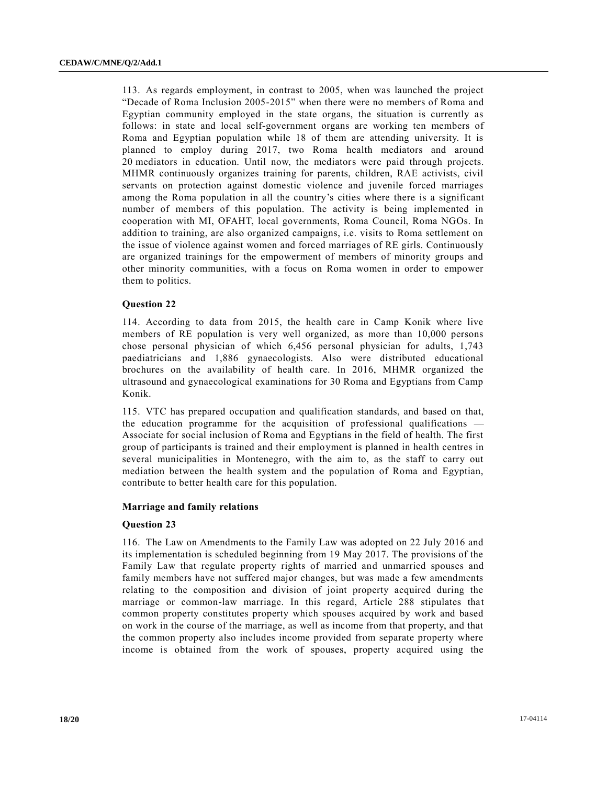113. As regards employment, in contrast to 2005, when was launched the project "Decade of Roma Inclusion 2005-2015" when there were no members of Roma and Egyptian community employed in the state organs, the situation is currently as follows: in state and local self-government organs are working ten members of Roma and Egyptian population while 18 of them are attending university. It is planned to employ during 2017, two Roma health mediators and around 20 mediators in education. Until now, the mediators were paid through projects. MHMR continuously organizes training for parents, children, RAE activists, civil servants on protection against domestic violence and juvenile forced marriages among the Roma population in all the country's cities where there is a significant number of members of this population. The activity is being implemented in cooperation with MI, OFAHT, local governments, Roma Council, Roma NGOs. In addition to training, are also organized campaigns, i.e. visits to Roma settlement on the issue of violence against women and forced marriages of RE girls. Continuously are organized trainings for the empowerment of members of minority groups and other minority communities, with a focus on Roma women in order to empower them to politics.

# **Question 22**

114. According to data from 2015, the health care in Camp Konik where live members of RE population is very well organized, as more than 10,000 persons chose personal physician of which 6,456 personal physician for adults, 1,743 paediatricians and 1,886 gynaecologists. Also were distributed educational brochures on the availability of health care. In 2016, MHMR organized the ultrasound and gynaecological examinations for 30 Roma and Egyptians from Camp Konik.

115. VTC has prepared occupation and qualification standards, and based on that, the education programme for the acquisition of professional qualifications — Associate for social inclusion of Roma and Egyptians in the field of health. The first group of participants is trained and their employment is planned in health centres in several municipalities in Montenegro, with the aim to, as the staff to carry out mediation between the health system and the population of Roma and Egyptian, contribute to better health care for this population.

#### **Marriage and family relations**

#### **Question 23**

116. The Law on Amendments to the Family Law was adopted on 22 July 2016 and its implementation is scheduled beginning from 19 May 2017. The provisions of the Family Law that regulate property rights of married and unmarried spouses and family members have not suffered major changes, but was made a few amendments relating to the composition and division of joint property acquired during the marriage or common-law marriage. In this regard, Article 288 stipulates that common property constitutes property which spouses acquired by work and based on work in the course of the marriage, as well as income from that property, and that the common property also includes income provided from separate property where income is obtained from the work of spouses, property acquired using the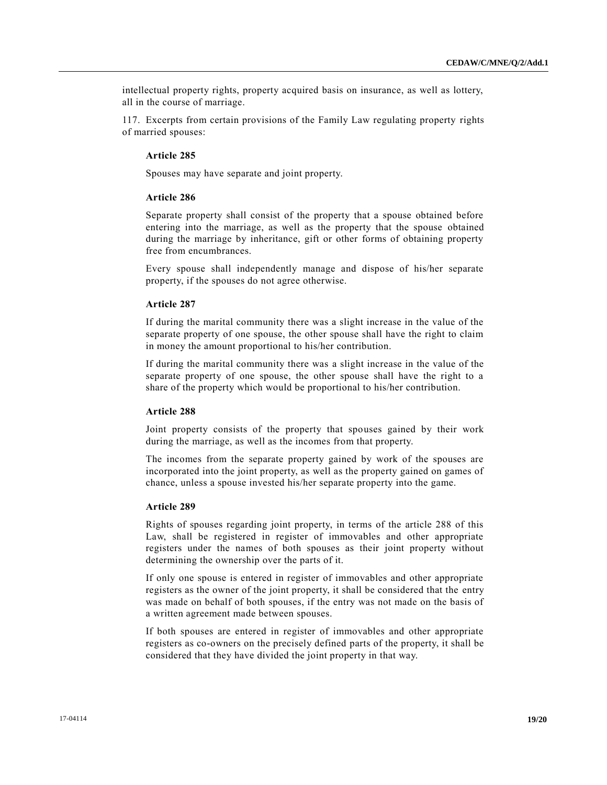intellectual property rights, property acquired basis on insurance, as well as lottery, all in the course of marriage.

117. Excerpts from certain provisions of the Family Law regulating property rights of married spouses:

#### **Article 285**

Spouses may have separate and joint property.

# **Article 286**

Separate property shall consist of the property that a spouse obtained before entering into the marriage, as well as the property that the spouse obtained during the marriage by inheritance, gift or other forms of obtaining property free from encumbrances.

Every spouse shall independently manage and dispose of his/her separate property, if the spouses do not agree otherwise.

# **Article 287**

If during the marital community there was a slight increase in the value of the separate property of one spouse, the other spouse shall have the right to claim in money the amount proportional to his/her contribution.

If during the marital community there was a slight increase in the value of the separate property of one spouse, the other spouse shall have the right to a share of the property which would be proportional to his/her contribution.

#### **Article 288**

Joint property consists of the property that spouses gained by their work during the marriage, as well as the incomes from that property.

The incomes from the separate property gained by work of the spouses are incorporated into the joint property, as well as the property gained on games of chance, unless a spouse invested his/her separate property into the game.

#### **Article 289**

Rights of spouses regarding joint property, in terms of the article 288 of this Law, shall be registered in register of immovables and other appropriate registers under the names of both spouses as their joint property without determining the ownership over the parts of it.

If only one spouse is entered in register of immovables and other appropriate registers as the owner of the joint property, it shall be considered that the entry was made on behalf of both spouses, if the entry was not made on the basis of a written agreement made between spouses.

If both spouses are entered in register of immovables and other appropriate registers as co-owners on the precisely defined parts of the property, it shall be considered that they have divided the joint property in that way.